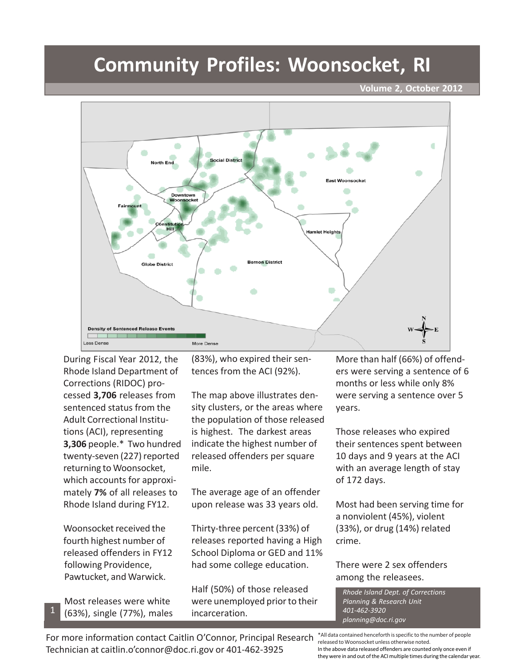## **Community Profiles: Woonsocket, RI**

**Volume 2, October 2012**



During Fiscal Year 2012, the Rhode Island Department of Corrections (RIDOC) processed **3,706** releases from sentenced status from the Adult Correctional Institutions (ACI), representing **3,306** people.\* Two hundred twenty-seven (227) reported returning to Woonsocket, which accounts for approximately **7%** of all releases to Rhode Island during FY12.

Woonsocket received the fourth highest number of released offenders in FY12 following Providence, Pawtucket, and Warwick.

Most releases were white (63%), single (77%), males

1

(83%), who expired their sentences from the ACI (92%).

The map above illustrates density clusters, or the areas where the population of those released is highest. The darkest areas indicate the highest number of released offenders per square mile.

The average age of an offender upon release was 33 years old.

Thirty-three percent (33%) of releases reported having a High School Diploma or GED and 11% had some college education.

Half (50%) of those released were unemployed prior to their incarceration.

More than half (66%) of offenders were serving a sentence of 6 months or less while only 8% were serving a sentence over 5 years.

Those releases who expired their sentences spent between 10 days and 9 years at the ACI with an average length of stay of 172 days.

Most had been serving time for a nonviolent (45%), violent (33%), or drug (14%) related crime.

There were 2 sex offenders among the releasees.

*Rhode Island Dept. of Corrections Planning & Research Unit 401-462-3920 planning@doc.ri.gov*

For more information contact Caitlin O'Connor, Principal Research Technician at caitlin.o'connor@doc.ri.gov or 401-462-3925

\*All data contained henceforth is specific to the number of people released to Woonsocket unless otherwise noted. In the above data released offenders are counted only once even if they were in and out of the ACI multiple times during the calendar year.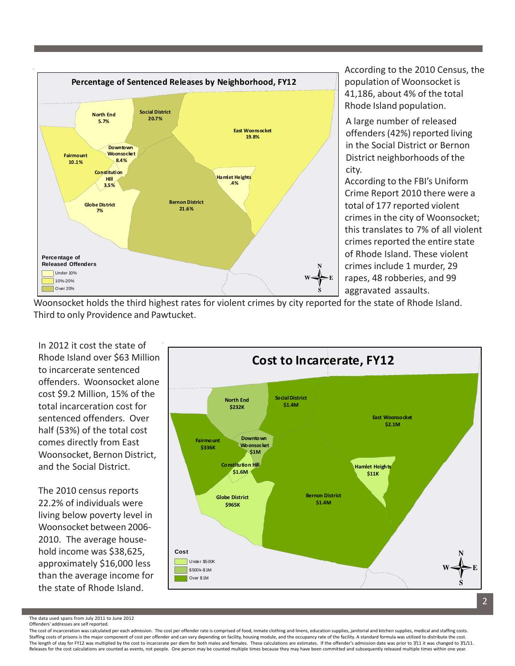

According to the 2010 Census, the population of Woonsocket is 41,186, about 4% of the total Rhode Island population.

A large number of released offenders (42%) reported living in the Social District or Bernon District neighborhoods of the city.

According to the FBI's Uniform Crime Report 2010 there were a total of 177 reported violent crimes in the city of Woonsocket; this translates to 7% of all violent crimes reported the entire state of Rhode Island. These violent crimes include 1 murder, 29 rapes, 48 robberies, and 99 aggravated assaults.

Woonsocket holds the third highest rates for violent crimes by city reported for the state of Rhode Island. Third to only Providence and Pawtucket.

In 2012 it cost the state of Rhode Island over \$63 Million to incarcerate sentenced offenders. Woonsocket alone cost \$9.2 Million, 15% of the total incarceration cost for sentenced offenders. Over half (53%) of the total cost comes directly from East Woonsocket, Bernon District, and the Social District.

The 2010 census reports 22.2% of individuals were living below poverty level in Woonsocket between 2006- 2010. The average household income was \$38,625, approximately \$16,000 less than the average income for the state of Rhode Island.



The data used spans from July 2011 to June 2012 Offenders' addresses are self reported.

The cost of incarceration was calculated per each admission. The cost per offender rate is comprised of food, inmate clothing and linens, education supplies, janitorial and kitchen supplies, medical and staffing costs. Staffing costs of prisons is the major component of cost per offender and can vary depending on facility, housing module, and the occupancy rate of the facility. A standard formula was utilized to distribute the cost. The length of stay for FY12 was multiplied by the cost to incarcerate per diem for both males and females. These calculations are estimates. If the offender's admission date was prior to 7/11 it was changed to 7/1/11. Releases for the cost calculations are counted as events, not people. One person may be counted multiple times because they may have been committed and subsequently released multiple times within one year.